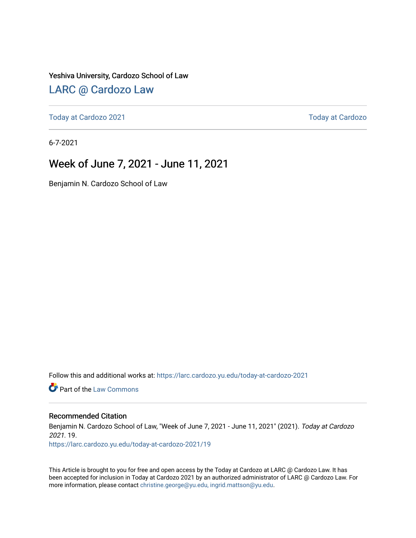#### Yeshiva University, Cardozo School of Law

### [LARC @ Cardozo Law](https://larc.cardozo.yu.edu/)

[Today at Cardozo 2021](https://larc.cardozo.yu.edu/today-at-cardozo-2021) **Today at Cardozo** 2021

6-7-2021

## Week of June 7, 2021 - June 11, 2021

Benjamin N. Cardozo School of Law

Follow this and additional works at: [https://larc.cardozo.yu.edu/today-at-cardozo-2021](https://larc.cardozo.yu.edu/today-at-cardozo-2021?utm_source=larc.cardozo.yu.edu%2Ftoday-at-cardozo-2021%2F19&utm_medium=PDF&utm_campaign=PDFCoverPages)

**C** Part of the [Law Commons](http://network.bepress.com/hgg/discipline/578?utm_source=larc.cardozo.yu.edu%2Ftoday-at-cardozo-2021%2F19&utm_medium=PDF&utm_campaign=PDFCoverPages)

#### Recommended Citation

Benjamin N. Cardozo School of Law, "Week of June 7, 2021 - June 11, 2021" (2021). Today at Cardozo 2021. 19.

[https://larc.cardozo.yu.edu/today-at-cardozo-2021/19](https://larc.cardozo.yu.edu/today-at-cardozo-2021/19?utm_source=larc.cardozo.yu.edu%2Ftoday-at-cardozo-2021%2F19&utm_medium=PDF&utm_campaign=PDFCoverPages) 

This Article is brought to you for free and open access by the Today at Cardozo at LARC @ Cardozo Law. It has been accepted for inclusion in Today at Cardozo 2021 by an authorized administrator of LARC @ Cardozo Law. For more information, please contact [christine.george@yu.edu, ingrid.mattson@yu.edu](mailto:christine.george@yu.edu,%20ingrid.mattson@yu.edu).